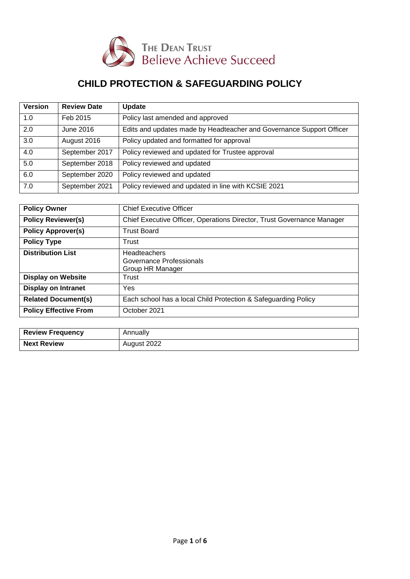

# **CHILD PROTECTION & SAFEGUARDING POLICY**

| <b>Version</b> | <b>Review Date</b> | <b>Update</b>                                                        |
|----------------|--------------------|----------------------------------------------------------------------|
| 1.0            | Feb 2015           | Policy last amended and approved                                     |
| 2.0            | June 2016          | Edits and updates made by Headteacher and Governance Support Officer |
| 3.0            | August 2016        | Policy updated and formatted for approval                            |
| 4.0            | September 2017     | Policy reviewed and updated for Trustee approval                     |
| 5.0            | September 2018     | Policy reviewed and updated                                          |
| 6.0            | September 2020     | Policy reviewed and updated                                          |
| 7.0            | September 2021     | Policy reviewed and updated in line with KCSIE 2021                  |

| <b>Policy Owner</b>          | <b>Chief Executive Officer</b>                                         |
|------------------------------|------------------------------------------------------------------------|
| <b>Policy Reviewer(s)</b>    | Chief Executive Officer, Operations Director, Trust Governance Manager |
| <b>Policy Approver(s)</b>    | <b>Trust Board</b>                                                     |
| <b>Policy Type</b>           | Trust                                                                  |
| <b>Distribution List</b>     | <b>Headteachers</b><br>Governance Professionals<br>Group HR Manager    |
| <b>Display on Website</b>    | Trust                                                                  |
| <b>Display on Intranet</b>   | Yes                                                                    |
| <b>Related Document(s)</b>   | Each school has a local Child Protection & Safeguarding Policy         |
| <b>Policy Effective From</b> | October 2021                                                           |

| <b>Review Frequency</b> | Annually    |
|-------------------------|-------------|
| <b>Next Review</b>      | August 2022 |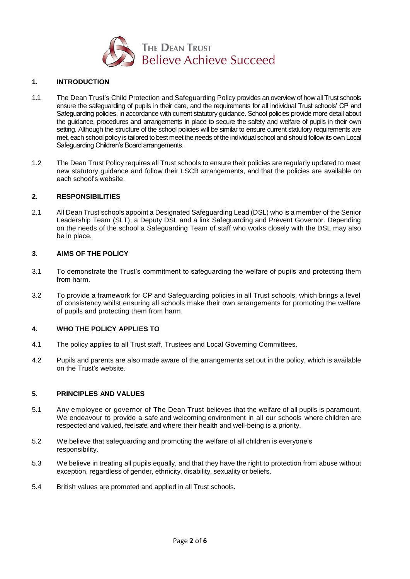

## **1. INTRODUCTION**

- 1.1 The Dean Trust's Child Protection and Safeguarding Policy provides an overview of how all Trust schools ensure the safeguarding of pupils in their care, and the requirements for all individual Trust schools' CP and Safeguarding policies, in accordance with current statutory guidance. School policies provide more detail about the guidance, procedures and arrangements in place to secure the safety and welfare of pupils in their own setting. Although the structure of the school policies will be similar to ensure current statutory requirements are met, each school policy is tailored to best meet the needs of the individual school and should follow its own Local Safeguarding Children's Board arrangements.
- 1.2 The Dean Trust Policy requires all Trust schools to ensure their policies are regularly updated to meet new statutory guidance and follow their LSCB arrangements, and that the policies are available on each school's website.

#### **2. RESPONSIBILITIES**

2.1 All Dean Trust schools appoint a Designated Safeguarding Lead (DSL) who is a member of the Senior Leadership Team (SLT), a Deputy DSL and a link Safeguarding and Prevent Governor. Depending on the needs of the school a Safeguarding Team of staff who works closely with the DSL may also be in place.

#### **3. AIMS OF THE POLICY**

- 3.1 To demonstrate the Trust's commitment to safeguarding the welfare of pupils and protecting them from harm.
- 3.2 To provide a framework for CP and Safeguarding policies in all Trust schools, which brings a level of consistency whilst ensuring all schools make their own arrangements for promoting the welfare of pupils and protecting them from harm.

## **4. WHO THE POLICY APPLIES TO**

- 4.1 The policy applies to all Trust staff, Trustees and Local Governing Committees.
- 4.2 Pupils and parents are also made aware of the arrangements set out in the policy, which is available on the Trust's website.

## **5. PRINCIPLES AND VALUES**

- 5.1 Any employee or governor of The Dean Trust believes that the welfare of all pupils is paramount. We endeavour to provide a safe and welcoming environment in all our schools where children are respected and valued, feel safe, and where their health and well-being is a priority.
- 5.2 We believe that safeguarding and promoting the welfare of all children is everyone's responsibility.
- 5.3 We believe in treating all pupils equally, and that they have the right to protection from abuse without exception, regardless of gender, ethnicity, disability, sexuality or beliefs.
- 5.4 British values are promoted and applied in all Trust schools.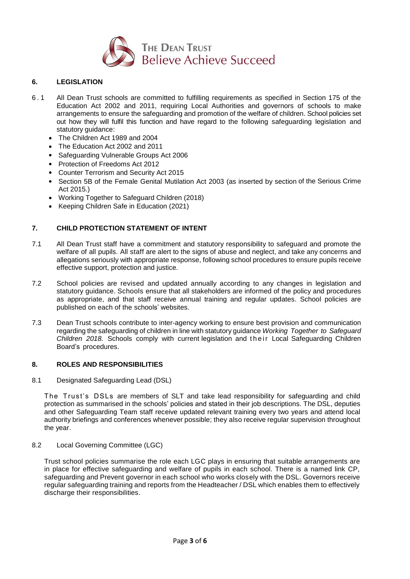

# **6. LEGISLATION**

- 6 . 1 All Dean Trust schools are committed to fulfilling requirements as specified in Section 175 of the Education Act 2002 and 2011, requiring Local Authorities and governors of schools to make arrangements to ensure the safeguarding and promotion of the welfare of children. School policies set out how they will fulfil this function and have regard to the following safeguarding legislation and statutory guidance:
	- The Children Act 1989 and 2004
	- The Education Act 2002 and 2011
	- Safeguarding Vulnerable Groups Act 2006
	- Protection of Freedoms Act 2012
	- Counter Terrorism and Security Act 2015
	- Section 5B of the Female Genital Mutilation Act 2003 (as inserted by section of the Serious Crime Act 2015.)
	- Working Together to Safeguard Children (2018)
	- Keeping Children Safe in Education (2021)

## **7. CHILD PROTECTION STATEMENT OF INTENT**

- 7.1 All Dean Trust staff have a commitment and statutory responsibility to safeguard and promote the welfare of all pupils. All staff are alert to the signs of abuse and neglect, and take any concerns and allegations seriously with appropriate response, following school procedures to ensure pupils receive effective support, protection and justice.
- 7.2 School policies are revised and updated annually according to any changes in legislation and statutory guidance. Schools ensure that all stakeholders are informed of the policy and procedures as appropriate, and that staff receive annual training and regular updates. School policies are published on each of the schools' websites.
- 7.3 Dean Trust schools contribute to inter-agency working to ensure best provision and communication regarding the safeguarding of children in line with statutory guidance *Working Together to Safeguard Children* 2018. Schools comply with current legislation and their Local Safeguarding Children Board's procedures.

#### **8. ROLES AND RESPONSIBILITIES**

8.1 Designated Safeguarding Lead (DSL)

The Trust's DSLs are members of SLT and take lead responsibility for safeguarding and child protection as summarised in the schools' policies and stated in their job descriptions. The DSL, deputies and other Safeguarding Team staff receive updated relevant training every two years and attend local authority briefings and conferences whenever possible; they also receive regular supervision throughout the year.

8.2 Local Governing Committee (LGC)

Trust school policies summarise the role each LGC plays in ensuring that suitable arrangements are in place for effective safeguarding and welfare of pupils in each school. There is a named link CP, safeguarding and Prevent governor in each school who works closely with the DSL. Governors receive regular safeguarding training and reports from the Headteacher / DSL which enables them to effectively discharge their responsibilities.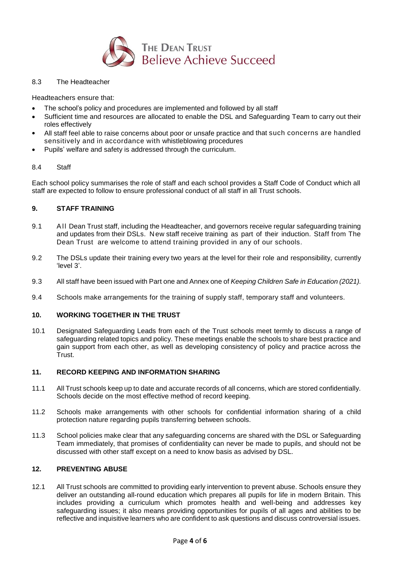

8.3 The Headteacher

Headteachers ensure that:

- The school's policy and procedures are implemented and followed by all staff
- Sufficient time and resources are allocated to enable the DSL and Safeguarding Team to carry out their roles effectively
- All staff feel able to raise concerns about poor or unsafe practice and that such concerns are handled sensitively and in accordance with whistleblowing procedures
- Pupils' welfare and safety is addressed through the curriculum.

#### 8.4 Staff

Each school policy summarises the role of staff and each school provides a Staff Code of Conduct which all staff are expected to follow to ensure professional conduct of all staff in all Trust schools.

## **9. STAFF TRAINING**

- 9.1 All Dean Trust staff, including the Headteacher, and governors receive regular safeguarding training and updates from their DSLs. New staff receive training as part of their induction. Staff from The Dean Trust are welcome to attend training provided in any of our schools.
- 9.2 The DSLs update their training every two years at the level for their role and responsibility, currently 'level 3'.
- 9.3 All staff have been issued with Part one and Annex one of *Keeping Children Safe in Education (2021).*
- 9.4 Schools make arrangements for the training of supply staff, temporary staff and volunteers.

## **10. WORKING TOGETHER IN THE TRUST**

10.1 Designated Safeguarding Leads from each of the Trust schools meet termly to discuss a range of safeguarding related topics and policy. These meetings enable the schools to share best practice and gain support from each other, as well as developing consistency of policy and practice across the Trust.

## **11. RECORD KEEPING AND INFORMATION SHARING**

- 11.1 All Trust schools keep up to date and accurate records of all concerns, which are stored confidentially. Schools decide on the most effective method of record keeping.
- 11.2 Schools make arrangements with other schools for confidential information sharing of a child protection nature regarding pupils transferring between schools.
- 11.3 School policies make clear that any safeguarding concerns are shared with the DSL or Safeguarding Team immediately, that promises of confidentiality can never be made to pupils, and should not be discussed with other staff except on a need to know basis as advised by DSL.

## **12. PREVENTING ABUSE**

12.1 All Trust schools are committed to providing early intervention to prevent abuse. Schools ensure they deliver an outstanding all-round education which prepares all pupils for life in modern Britain. This includes providing a curriculum which promotes health and well-being and addresses key safeguarding issues; it also means providing opportunities for pupils of all ages and abilities to be reflective and inquisitive learners who are confident to ask questions and discuss controversial issues.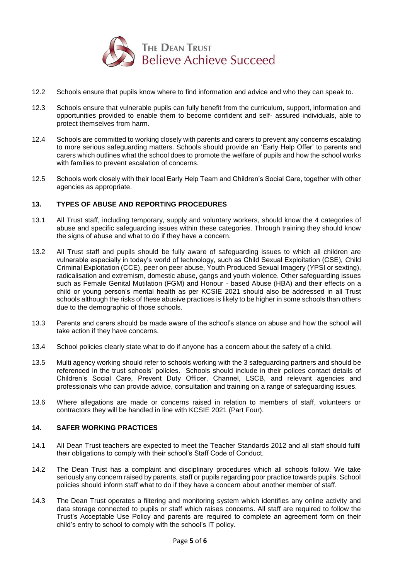

- 12.2 Schools ensure that pupils know where to find information and advice and who they can speak to.
- 12.3 Schools ensure that vulnerable pupils can fully benefit from the curriculum, support, information and opportunities provided to enable them to become confident and self- assured individuals, able to protect themselves from harm.
- 12.4 Schools are committed to working closely with parents and carers to prevent any concerns escalating to more serious safeguarding matters. Schools should provide an 'Early Help Offer' to parents and carers which outlines what the school does to promote the welfare of pupils and how the school works with families to prevent escalation of concerns.
- 12.5 Schools work closely with their local Early Help Team and Children's Social Care, together with other agencies as appropriate.

#### **13. TYPES OF ABUSE AND REPORTING PROCEDURES**

- 13.1 All Trust staff, including temporary, supply and voluntary workers, should know the 4 categories of abuse and specific safeguarding issues within these categories. Through training they should know the signs of abuse and what to do if they have a concern.
- 13.2 All Trust staff and pupils should be fully aware of safeguarding issues to which all children are vulnerable especially in today's world of technology, such as Child Sexual Exploitation (CSE), Child Criminal Exploitation (CCE), peer on peer abuse, Youth Produced Sexual Imagery (YPSI or sexting), radicalisation and extremism, domestic abuse, gangs and youth violence. Other safeguarding issues such as Female Genital Mutilation (FGM) and Honour - based Abuse (HBA) and their effects on a child or young person's mental health as per KCSIE 2021 should also be addressed in all Trust schools although the risks of these abusive practices is likely to be higher in some schools than others due to the demographic of those schools.
- 13.3 Parents and carers should be made aware of the school's stance on abuse and how the school will take action if they have concerns.
- 13.4 School policies clearly state what to do if anyone has a concern about the safety of a child.
- 13.5 Multi agency working should refer to schools working with the 3 safeguarding partners and should be referenced in the trust schools' policies. Schools should include in their polices contact details of Children's Social Care, Prevent Duty Officer, Channel, LSCB, and relevant agencies and professionals who can provide advice, consultation and training on a range of safeguarding issues.
- 13.6 Where allegations are made or concerns raised in relation to members of staff, volunteers or contractors they will be handled in line with KCSIE 2021 (Part Four).

# **14. SAFER WORKING PRACTICES**

- 14.1 All Dean Trust teachers are expected to meet the Teacher Standards 2012 and all staff should fulfil their obligations to comply with their school's Staff Code of Conduct.
- 14.2 The Dean Trust has a complaint and disciplinary procedures which all schools follow. We take seriously any concern raised by parents, staff or pupils regarding poor practice towards pupils. School policies should inform staff what to do if they have a concern about another member of staff.
- 14.3 The Dean Trust operates a filtering and monitoring system which identifies any online activity and data storage connected to pupils or staff which raises concerns. All staff are required to follow the Trust's Acceptable Use Policy and parents are required to complete an agreement form on their child's entry to school to comply with the school's IT policy.